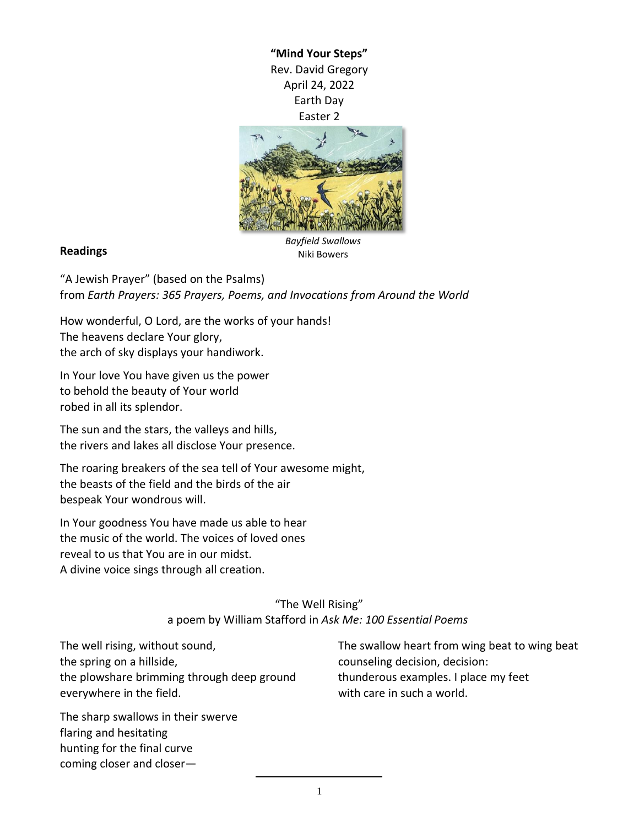**"Mind Your Steps"** Rev. David Gregory April 24, 2022 Earth Day Easter 2



## **Readings**

*Bayfield Swallows* Niki Bowers

"A Jewish Prayer" (based on the Psalms) from *Earth Prayers: 365 Prayers, Poems, and Invocations from Around the World*

How wonderful, O Lord, are the works of your hands! The heavens declare Your glory, the arch of sky displays your handiwork.

In Your love You have given us the power to behold the beauty of Your world robed in all its splendor.

The sun and the stars, the valleys and hills, the rivers and lakes all disclose Your presence.

The roaring breakers of the sea tell of Your awesome might, the beasts of the field and the birds of the air bespeak Your wondrous will.

In Your goodness You have made us able to hear the music of the world. The voices of loved ones reveal to us that You are in our midst. A divine voice sings through all creation.

> "The Well Rising" a poem by William Stafford in *Ask Me: 100 Essential Poems*

The well rising, without sound, the spring on a hillside, the plowshare brimming through deep ground everywhere in the field.

The sharp swallows in their swerve flaring and hesitating hunting for the final curve coming closer and closerThe swallow heart from wing beat to wing beat counseling decision, decision: thunderous examples. I place my feet with care in such a world.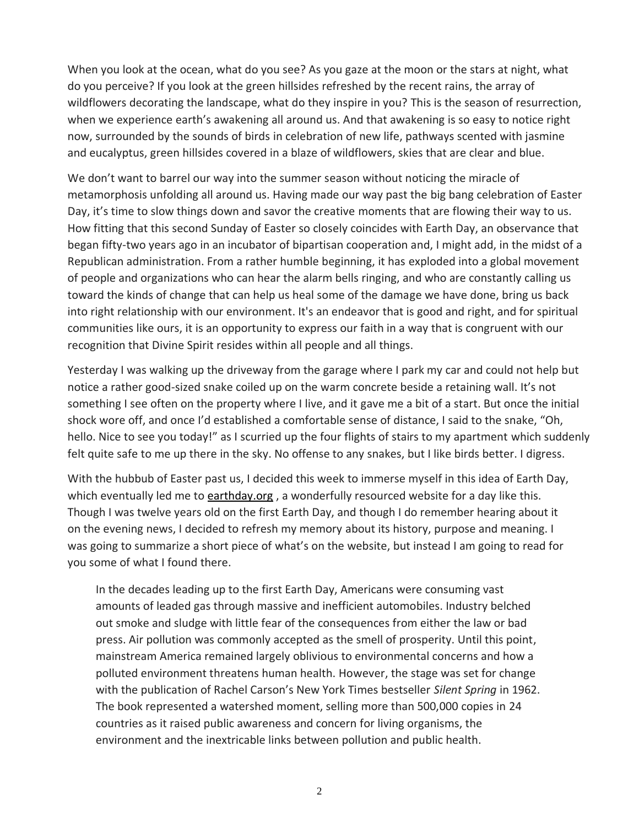When you look at the ocean, what do you see? As you gaze at the moon or the stars at night, what do you perceive? If you look at the green hillsides refreshed by the recent rains, the array of wildflowers decorating the landscape, what do they inspire in you? This is the season of resurrection, when we experience earth's awakening all around us. And that awakening is so easy to notice right now, surrounded by the sounds of birds in celebration of new life, pathways scented with jasmine and eucalyptus, green hillsides covered in a blaze of wildflowers, skies that are clear and blue.

We don't want to barrel our way into the summer season without noticing the miracle of metamorphosis unfolding all around us. Having made our way past the big bang celebration of Easter Day, it's time to slow things down and savor the creative moments that are flowing their way to us. How fitting that this second Sunday of Easter so closely coincides with Earth Day, an observance that began fifty-two years ago in an incubator of bipartisan cooperation and, I might add, in the midst of a Republican administration. From a rather humble beginning, it has exploded into a global movement of people and organizations who can hear the alarm bells ringing, and who are constantly calling us toward the kinds of change that can help us heal some of the damage we have done, bring us back into right relationship with our environment. It's an endeavor that is good and right, and for spiritual communities like ours, it is an opportunity to express our faith in a way that is congruent with our recognition that Divine Spirit resides within all people and all things.

Yesterday I was walking up the driveway from the garage where I park my car and could not help but notice a rather good-sized snake coiled up on the warm concrete beside a retaining wall. It's not something I see often on the property where I live, and it gave me a bit of a start. But once the initial shock wore off, and once I'd established a comfortable sense of distance, I said to the snake, "Oh, hello. Nice to see you today!" as I scurried up the four flights of stairs to my apartment which suddenly felt quite safe to me up there in the sky. No offense to any snakes, but I like birds better. I digress.

With the hubbub of Easter past us, I decided this week to immerse myself in this idea of Earth Day, which eventually led me to [earthday.org](https://www.earthday.org/) , a wonderfully resourced website for a day like this. Though I was twelve years old on the first Earth Day, and though I do remember hearing about it on the evening news, I decided to refresh my memory about its history, purpose and meaning. I was going to summarize a short piece of what's on the website, but instead I am going to read for you some of what I found there.

In the decades leading up to the first Earth Day, Americans were consuming vast amounts of leaded gas through massive and inefficient automobiles. Industry belched out smoke and sludge with little fear of the consequences from either the law or bad press. Air pollution was commonly accepted as the smell of prosperity. Until this point, mainstream America remained largely oblivious to environmental concerns and how a polluted environment threatens human health. However, the stage was set for change with the publication of Rachel Carson's New York Times bestseller *Silent Spring* in 1962. The book represented a watershed moment, selling more than 500,000 copies in 24 countries as it raised public awareness and concern for living organisms, the environment and the inextricable links between pollution and public health.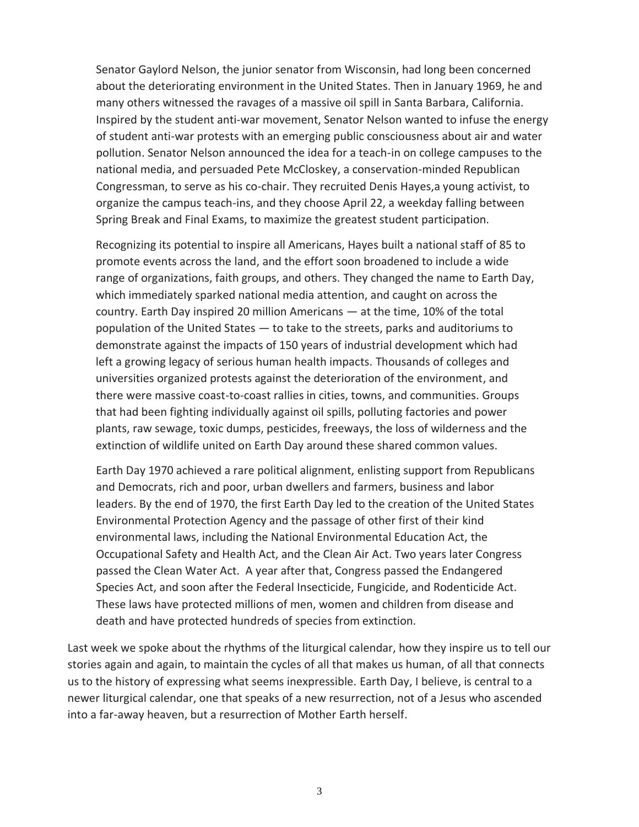Senator Gaylord Nelson, the junior senator from Wisconsin, had long been concerned about the deteriorating environment in the United States. Then in January 1969, he and many others witnessed the ravages of a massive oil spill in Santa Barbara, California. Inspired by the student anti-war movement, Senator Nelson wanted to infuse the energy of student anti-war protests with an emerging public consciousness about air and water pollution. Senator Nelson announced the idea for a teach-in on college campuses to the national media, and persuaded Pete McCloskey, a conservation-minded Republican Congressman, to serve as his co-chair. They recruited Denis Hayes,a young activist, to organize the campus teach-ins, and they choose April 22, a weekday falling between Spring Break and Final Exams, to maximize the greatest student participation.

Recognizing its potential to inspire all Americans, Hayes built a national staff of 85 to promote events across the land, and the effort soon broadened to include a wide range of organizations, faith groups, and others. They changed the name to Earth Day, which immediately sparked national media attention, and caught on across the country. Earth Day inspired 20 million Americans — at the time, 10% of the total population of the United States — to take to the streets, parks and auditoriums to demonstrate against the impacts of 150 years of industrial development which had left a growing legacy of serious human health impacts. Thousands of colleges and universities organized protests against the deterioration of the environment, and there were massive coast-to-coast rallies in cities, towns, and communities. Groups that had been fighting individually against oil spills, polluting factories and power plants, raw sewage, toxic dumps, pesticides, freeways, the loss of wilderness and the extinction of wildlife united on Earth Day around these shared common values.

Earth Day 1970 achieved a rare political alignment, enlisting support from Republicans and Democrats, rich and poor, urban dwellers and farmers, business and labor leaders. By the end of 1970, the first Earth Day led to the creation of the United States Environmental Protection Agency and the passage of other first of their kind environmental laws, including the National Environmental Education Act, the Occupational Safety and Health Act, and the Clean Air Act. Two years later Congress passed the Clean Water Act. A year after that, Congress passed the Endangered Species Act, and soon after the Federal Insecticide, Fungicide, and Rodenticide Act. These laws have protected millions of men, women and children from disease and death and have protected hundreds of species from extinction.

Last week we spoke about the rhythms of the liturgical calendar, how they inspire us to tell our stories again and again, to maintain the cycles of all that makes us human, of all that connects us to the history of expressing what seems inexpressible. Earth Day, I believe, is central to a newer liturgical calendar, one that speaks of a new resurrection, not of a Jesus who ascended into a far-away heaven, but a resurrection of Mother Earth herself.